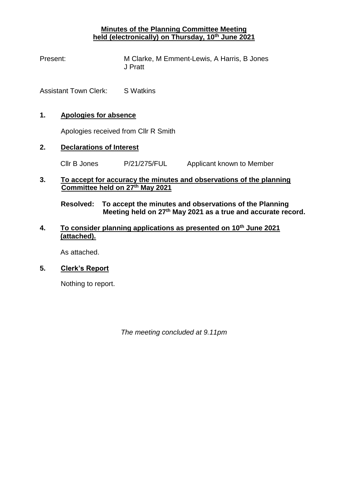## **Minutes of the Planning Committee Meeting held (electronically) on Thursday, 10th June 2021**

Present: M Clarke, M Emment-Lewis, A Harris, B Jones J Pratt

Assistant Town Clerk: S Watkins

#### **1. Apologies for absence**

Apologies received from Cllr R Smith

#### **2. Declarations of Interest**

Cllr B Jones P/21/275/FUL Applicant known to Member

#### **3. To accept for accuracy the minutes and observations of the planning Committee held on 27th May 2021**

**Resolved: To accept the minutes and observations of the Planning Meeting held on 27th May 2021 as a true and accurate record.**

### **4. To consider planning applications as presented on 10th June 2021 (attached).**

As attached.

#### **5. Clerk's Report**

Nothing to report.

*The meeting concluded at 9.11pm*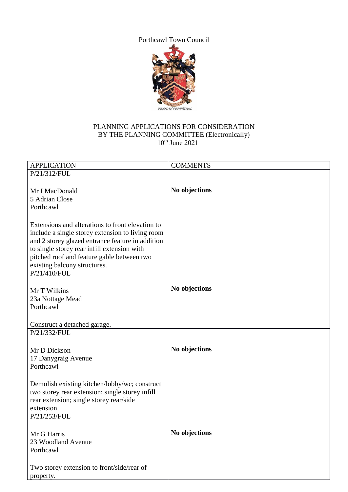Porthcawl Town Council



# PLANNING APPLICATIONS FOR CONSIDERATION BY THE PLANNING COMMITTEE (Electronically)  $10^{th}$  June 2021

| <b>APPLICATION</b>                                                                                                                                                                                                                                                                    | <b>COMMENTS</b> |
|---------------------------------------------------------------------------------------------------------------------------------------------------------------------------------------------------------------------------------------------------------------------------------------|-----------------|
| P/21/312/FUL                                                                                                                                                                                                                                                                          |                 |
| Mr I MacDonald<br>5 Adrian Close<br>Porthcawl                                                                                                                                                                                                                                         | No objections   |
| Extensions and alterations to front elevation to<br>include a single storey extension to living room<br>and 2 storey glazed entrance feature in addition<br>to single storey rear infill extension with<br>pitched roof and feature gable between two<br>existing balcony structures. |                 |
| P/21/410/FUL                                                                                                                                                                                                                                                                          |                 |
| Mr T Wilkins<br>23a Nottage Mead<br>Porthcawl                                                                                                                                                                                                                                         | No objections   |
| Construct a detached garage.                                                                                                                                                                                                                                                          |                 |
| P/21/332/FUL                                                                                                                                                                                                                                                                          |                 |
| Mr D Dickson<br>17 Danygraig Avenue<br>Porthcawl                                                                                                                                                                                                                                      | No objections   |
| Demolish existing kitchen/lobby/wc; construct<br>two storey rear extension; single storey infill<br>rear extension; single storey rear/side<br>extension.                                                                                                                             |                 |
| P/21/253/FUL                                                                                                                                                                                                                                                                          |                 |
| Mr G Harris<br>23 Woodland Avenue<br>Porthcawl                                                                                                                                                                                                                                        | No objections   |
| Two storey extension to front/side/rear of<br>property.                                                                                                                                                                                                                               |                 |